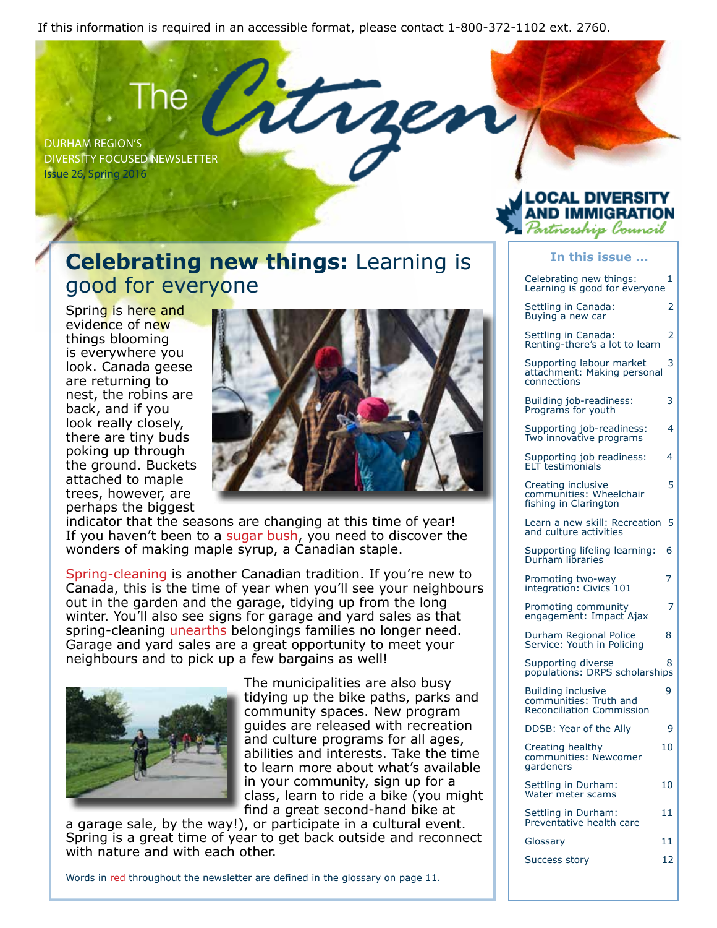If this information is required in an accessible format, please contact 1-800-372-1102 ext. 2760.

rse

Durham Region's Diversity Focused Newsletter Issue 26, Spring 2016

### **Celebrating new things:** Learning is good for everyone

Spring is here and evidence of new things blooming is everywhere you look. Canada geese are returning to nest, the robins are back, and if you look really closely, there are tiny buds poking up through the ground. Buckets attached to maple trees, however, are perhaps the biggest



indicator that the seasons are changing at this time of year! If you haven't been to a sugar bush, you need to discover the wonders of making maple syrup, a Canadian staple.

Spring-cleaning is another Canadian tradition. If you're new to Canada, this is the time of year when you'll see your neighbours out in the garden and the garage, tidying up from the long winter. You'll also see signs for garage and yard sales as that spring-cleaning unearths belongings families no longer need. Garage and yard sales are a great opportunity to meet your neighbours and to pick up a few bargains as well!



The municipalities are also busy tidying up the bike paths, parks and community spaces. New program guides are released with recreation and culture programs for all ages, abilities and interests. Take the time to learn more about what's available in your community, sign up for a class, learn to ride a bike (you might find a great second-hand bike at

a garage sale, by the way!), or participate in a cultural event. Spring is a great time of year to get back outside and reconnect with nature and with each other.

Words in red throughout the newsletter are defined in the glossary on page 11.

### .OCAL DIVERSITY MIGRAT tnership Council

#### **In this issue ...**

Celebrating new things: 1 Learning is good for everyone Settling in Canada: 2 Buying a new car

Settling in Canada: 2 Renting-there's a lot to learn

Supporting labour market 3 attachment: Making personal connections

Building job-readiness: 3 Programs for youth

Supporting job-readiness: 4 Two innovative programs

Supporting job readiness: 4 ELT testimonials

Creating inclusive 5 communities: Wheelchair fishing in Clarington

Learn a new skill: Recreation 5 and culture activities

Supporting lifeling learning: 6 Durham libraries

Promoting two-way 7 integration: Civics 101

Promoting community 7 engagement: Impact Ajax

Durham Regional Police 8 Service: Youth in Policina

Supporting diverse and the 8 populations: DRPS scholarships

Building inclusive 9 communities: Truth and Reconciliation Commission

DDSB: Year of the Ally 9

Creating healthy 10 communities: Newcomer gardeners

Settling in Durham: 10 Water meter scams

Settling in Durham: 11 Preventative health care

Glossary 11

Success story 12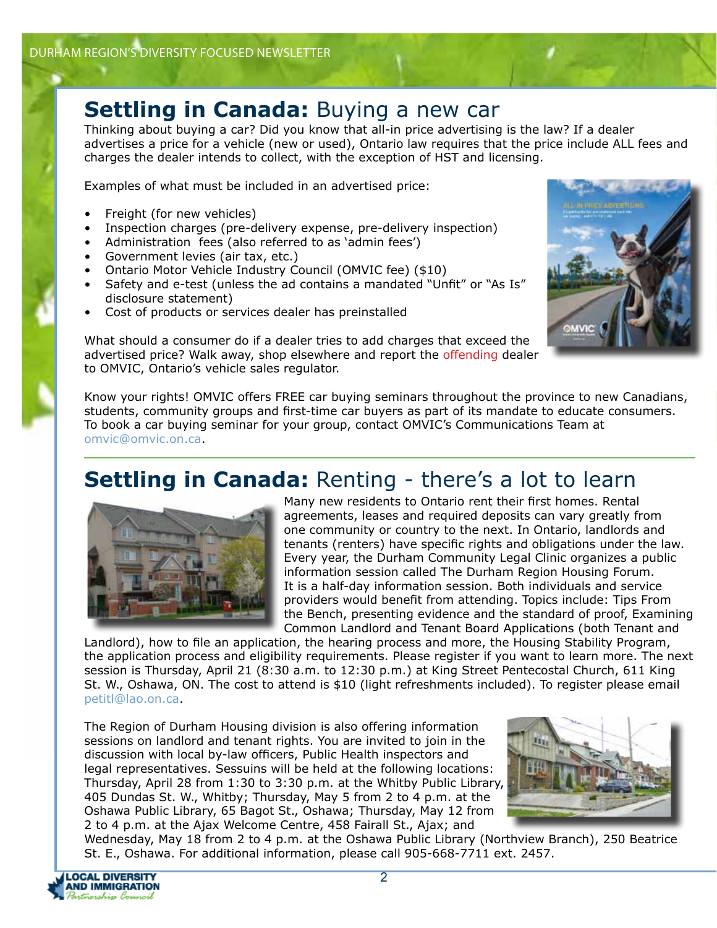### **Settling in Canada:** Buying a new car

Thinking about buying a car? Did you know that all-in price advertising is the law? If a dealer advertises a price for a vehicle (new or used), Ontario law requires that the price include ALL fees and charges the dealer intends to collect, with the exception of HST and licensing.

Examples of what must be included in an advertised price:

- Freight (for new vehicles)
- Inspection charges (pre-delivery expense, pre-delivery inspection)
- Administration fees (also referred to as 'admin fees')
- Government levies (air tax, etc.)
- Ontario Motor Vehicle Industry Council (OMVIC fee) (\$10)
- Safety and e-test (unless the ad contains a mandated "Unfit" or "As Is" disclosure statement)
- Cost of products or services dealer has preinstalled



What should a consumer do if a dealer tries to add charges that exceed the advertised price? Walk away, shop elsewhere and report the offending dealer to OMVIC, Ontario's vehicle sales regulator.

Know your rights! OMVIC offers FREE car buying seminars throughout the province to new Canadians, students, community groups and first-time car buyers as part of its mandate to educate consumers. To book a car buying seminar for your group, contact OMVIC's Communications Team at omvic@omvic.on.ca.

# **Settling in Canada:** Renting - there's a lot to learn



Many new residents to Ontario rent their first homes. Rental agreements, leases and required deposits can vary greatly from one community or country to the next. In Ontario, landlords and tenants (renters) have specific rights and obligations under the law. Every year, the Durham Community Legal Clinic organizes a public information session called The Durham Region Housing Forum. It is a half-day information session. Both individuals and service providers would benefit from attending. Topics include: Tips From the Bench, presenting evidence and the standard of proof, Examining Common Landlord and Tenant Board Applications (both Tenant and

Landlord), how to file an application, the hearing process and more, the Housing Stability Program, the application process and eligibility requirements. Please register if you want to learn more. The next session is Thursday, April 21 (8:30 a.m. to 12:30 p.m.) at King Street Pentecostal Church, 611 King St. W., Oshawa, ON. The cost to attend is \$10 (light refreshments included). To register please email petitl@lao.on.ca.

The Region of Durham Housing division is also offering information sessions on landlord and tenant rights. You are invited to join in the discussion with local by-law officers, Public Health inspectors and legal representatives. Sessuins will be held at the following locations: Thursday, April 28 from 1:30 to 3:30 p.m. at the Whitby Public Library, 405 Dundas St. W., Whitby; Thursday, May 5 from 2 to 4 p.m. at the Oshawa Public Library, 65 Bagot St., Oshawa; Thursday, May 12 from 2 to 4 p.m. at the Ajax Welcome Centre, 458 Fairall St., Ajax; and



Wednesday, May 18 from 2 to 4 p.m. at the Oshawa Public Library (Northview Branch), 250 Beatrice St. E., Oshawa. For additional information, please call 905-668-7711 ext. 2457.

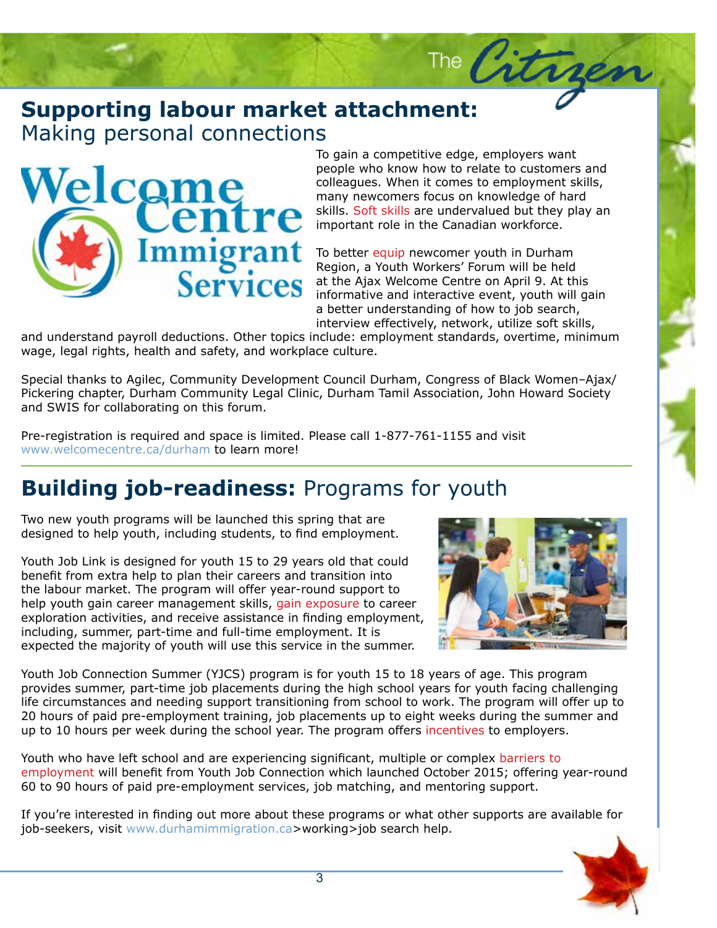### **Supporting labour market attachment:**<br>Making personal connections Making personal connections



To gain a competitive edge, employers want<br>people who know how to relate to customers and To gain a competitive edge, employers want colleagues. When it comes to employment skills, many newcomers focus on knowledge of hard skills. Soft skills are undervalued but they play an important role in the Canadian workforce.

The Citry

To better equip newcomer youth in Durham Region, a Youth Workers' Forum will be held at the Ajax Welcome Centre on April 9. At this informative and interactive event, youth will gain a better understanding of how to job search, interview effectively, network, utilize soft skills,

and an actually pay on detailed since the topic include compressions contained, onerating, minimum.<br>Wage, legal rights, health and safety, and workplace culture.<br>Special thanks to Agilec, Community Development Council Durh and understand payroll deductions. Other topics include: employment standards, overtime, minimum wage, legal rights, health and safety, and workplace culture.

Pickering chapter, Durham Community Legal Clinic, Durham Tamil Association, John Howard Society<br>and SWIS for collaborating on this forum. and SWIS for collaborating on this forum.

Pre-registration is required and space is limited. Please call 1-877-761-1155 and visit www.welcomecentre.ca/durham to learn more!

# **Building job-readiness:** Programs for youth

Two new youth programs will be launched this spring that are designed to help youth, including students, to find employment.

Youth Job Link is designed for youth 15 to 29 years old that could benefit from extra help to plan their careers and transition into the labour market. The program will offer year-round support to help youth gain career management skills, gain exposure to career exploration activities, and receive assistance in finding employment, including, summer, part-time and full-time employment. It is expected the majority of youth will use this service in the summer.



Youth Job Connection Summer (YJCS) program is for youth 15 to 18 years of age. This program provides summer, part-time job placements during the high school years for youth facing challenging life circumstances and needing support transitioning from school to work. The program will offer up to 20 hours of paid pre-employment training, job placements up to eight weeks during the summer and up to 10 hours per week during the school year. The program offers incentives to employers.

Youth who have left school and are experiencing significant, multiple or complex barriers to employment will benefit from Youth Job Connection which launched October 2015; offering year-round 60 to 90 hours of paid pre-employment services, job matching, and mentoring support.

If you're interested in finding out more about these programs or what other supports are available for job-seekers, visit www.durhamimmigration.ca>working>job search help.

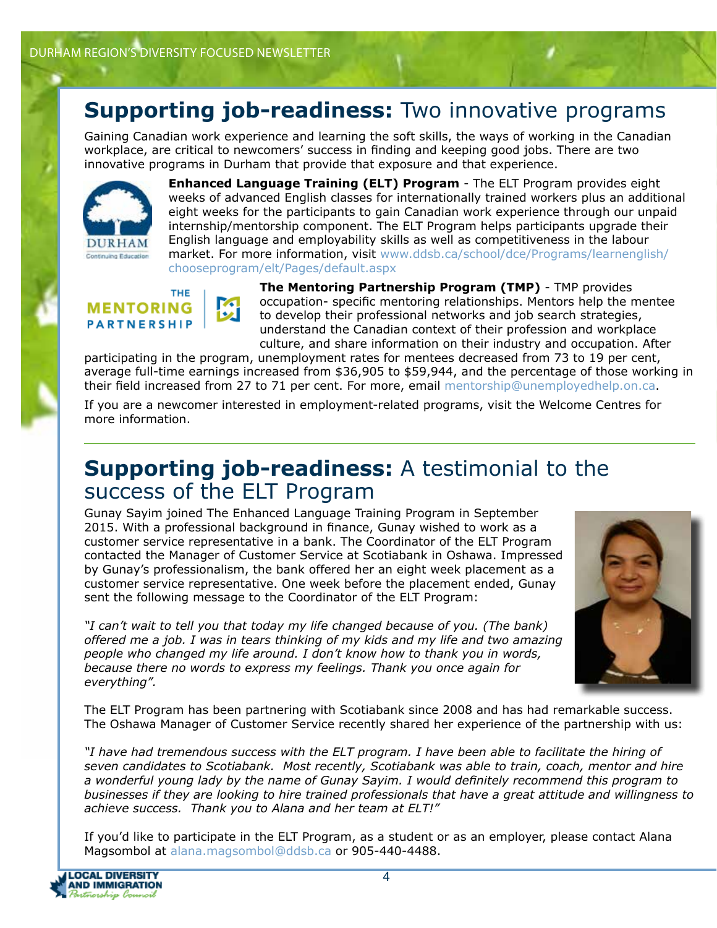# **Supporting job-readiness:** Two innovative programs

Gaining Canadian work experience and learning the soft skills, the ways of working in the Canadian workplace, are critical to newcomers' success in finding and keeping good jobs. There are two innovative programs in Durham that provide that exposure and that experience.



**Enhanced Language Training (ELT) Program** - The ELT Program provides eight weeks of advanced English classes for internationally trained workers plus an additional eight weeks for the participants to gain Canadian work experience through our unpaid internship/mentorship component. The ELT Program helps participants upgrade their English language and employability skills as well as competitiveness in the labour market. For more information, visit www.ddsb.ca/school/dce/Programs/learnenglish/ chooseprogram/elt/Pages/default.aspx

#### **THE MENTORING PARTNERSHIP**

例

**The Mentoring Partnership Program (TMP)** - TMP provides occupation- specific mentoring relationships. Mentors help the mentee to develop their professional networks and job search strategies, understand the Canadian context of their profession and workplace culture, and share information on their industry and occupation. After

participating in the program, unemployment rates for mentees decreased from 73 to 19 per cent, average full-time earnings increased from \$36,905 to \$59,944, and the percentage of those working in their field increased from 27 to 71 per cent. For more, email mentorship@unemployedhelp.on.ca.

If you are a newcomer interested in employment-related programs, visit the Welcome Centres for more information.

# **Supporting job-readiness:** A testimonial to the success of the ELT Program

Gunay Sayim joined The Enhanced Language Training Program in September 2015. With a professional background in finance, Gunay wished to work as a customer service representative in a bank. The Coordinator of the ELT Program contacted the Manager of Customer Service at Scotiabank in Oshawa. Impressed by Gunay's professionalism, the bank offered her an eight week placement as a customer service representative. One week before the placement ended, Gunay sent the following message to the Coordinator of the ELT Program:

*"I can't wait to tell you that today my life changed because of you. (The bank) offered me a job. I was in tears thinking of my kids and my life and two amazing people who changed my life around. I don't know how to thank you in words, because there no words to express my feelings. Thank you once again for everything".* 



The ELT Program has been partnering with Scotiabank since 2008 and has had remarkable success. The Oshawa Manager of Customer Service recently shared her experience of the partnership with us:

*"I have had tremendous success with the ELT program. I have been able to facilitate the hiring of seven candidates to Scotiabank. Most recently, Scotiabank was able to train, coach, mentor and hire a wonderful young lady by the name of Gunay Sayim. I would definitely recommend this program to businesses if they are looking to hire trained professionals that have a great attitude and willingness to achieve success. Thank you to Alana and her team at ELT!"* 

If you'd like to participate in the ELT Program, as a student or as an employer, please contact Alana Magsombol at alana.magsombol@ddsb.ca or 905-440-4488.

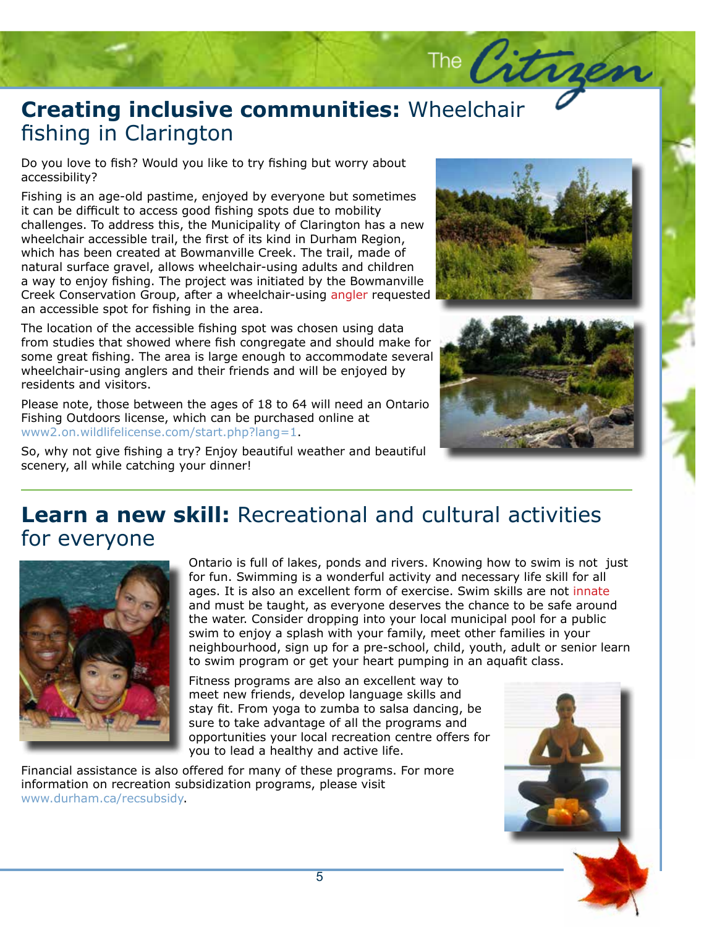# **Creating inclusive communities:** Wheelchair<br>fishing in Clarington fishing in Clarington

Do you love to fish? Would you like to try fishing but worry about<br>accessibility? accessibility?

Fishing is an age-old pastime, enjoyed by everyone but sometimes it can be difficult to access good fishing spots due to mobility challenges. To address this, the Municipality of Clarington has a new wheelchair accessible trail, the first of its kind in Durham Region, which has been created at Bowmanville Creek. The trail, made of natural surface gravel, allows wheelchair-using adults and children a way to enjoy fishing. The project was initiated by the Bowmanville Creek Conservation Group, after a wheelchair-using angler requested an accessible spot for fishing in the area.

The location of the accessible fishing spot was chosen using data from studies that showed where fish congregate and should make for some great fishing. The area is large enough to accommodate several wheelchair-using anglers and their friends and will be enjoyed by residents and visitors.

Please note, those between the ages of 18 to 64 will need an Ontario Fishing Outdoors license, which can be purchased online at www2.on.wildlifelicense.com/start.php?lang=1.

So, why not give fishing a try? Enjoy beautiful weather and beautiful scenery, all while catching your dinner!



The Citrges



# **Learn a new skill:** Recreational and cultural activities for everyone



Ontario is full of lakes, ponds and rivers. Knowing how to swim is not just for fun. Swimming is a wonderful activity and necessary life skill for all ages. It is also an excellent form of exercise. Swim skills are not innate and must be taught, as everyone deserves the chance to be safe around the water. Consider dropping into your local municipal pool for a public swim to enjoy a splash with your family, meet other families in your neighbourhood, sign up for a pre-school, child, youth, adult or senior learn to swim program or get your heart pumping in an aquafit class.

Fitness programs are also an excellent way to meet new friends, develop language skills and stay fit. From yoga to zumba to salsa dancing, be sure to take advantage of all the programs and opportunities your local recreation centre offers for you to lead a healthy and active life.

Financial assistance is also offered for many of these programs. For more information on recreation subsidization programs, please visit www.durham.ca/recsubsidy.

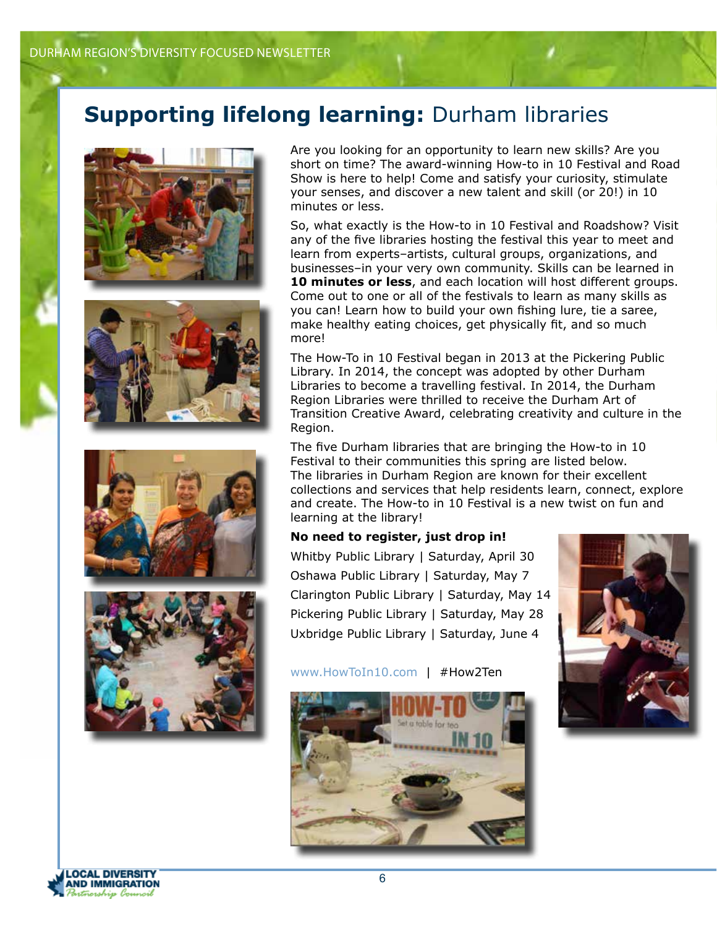# **Supporting lifelong learning:** Durham libraries









Are you looking for an opportunity to learn new skills? Are you short on time? The award-winning How-to in 10 Festival and Road Show is here to help! Come and satisfy your curiosity, stimulate your senses, and discover a new talent and skill (or 20!) in 10 minutes or less.

So, what exactly is the How-to in 10 Festival and Roadshow? Visit any of the five libraries hosting the festival this year to meet and learn from experts–artists, cultural groups, organizations, and businesses–in your very own community. Skills can be learned in **10 minutes or less**, and each location will host different groups. Come out to one or all of the festivals to learn as many skills as you can! Learn how to build your own fishing lure, tie a saree, make healthy eating choices, get physically fit, and so much more!

The How-To in 10 Festival began in 2013 at the Pickering Public Library. In 2014, the concept was adopted by other Durham Libraries to become a travelling festival. In 2014, the Durham Region Libraries were thrilled to receive the Durham Art of Transition Creative Award, celebrating creativity and culture in the Region.

The five Durham libraries that are bringing the How-to in 10 Festival to their communities this spring are listed below. The libraries in Durham Region are known for their excellent collections and services that help residents learn, connect, explore and create. The How-to in 10 Festival is a new twist on fun and learning at the library!

#### **No need to register, just drop in!**

Whitby Public Library | Saturday, April 30 Oshawa Public Library | Saturday, May 7 Clarington Public Library | Saturday, May 14 Pickering Public Library | Saturday, May 28 Uxbridge Public Library | Saturday, June 4







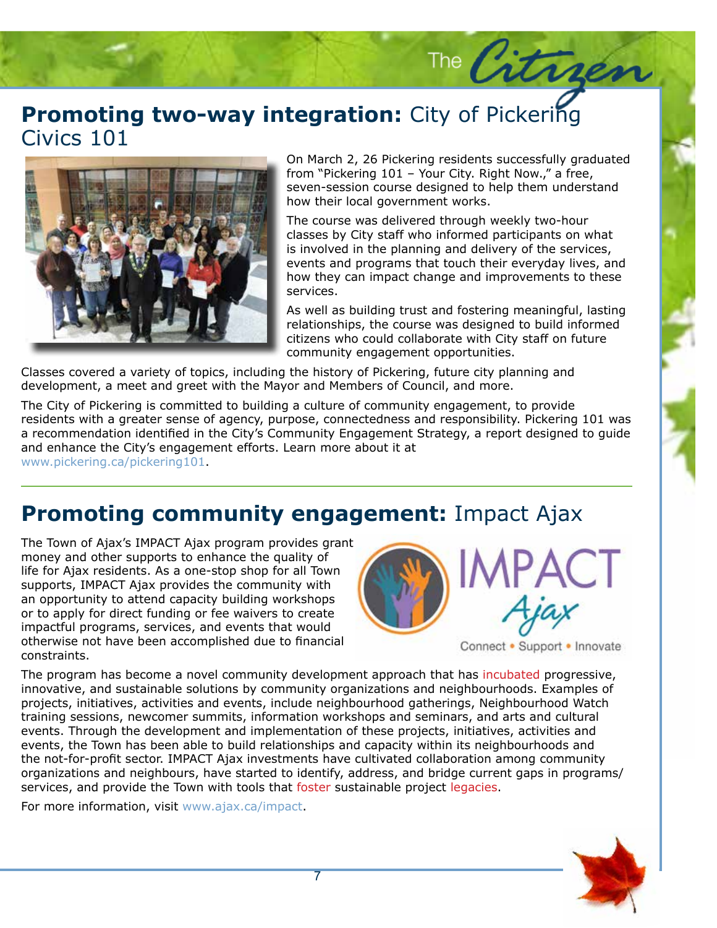### **Promoting two-way integration:** City of Pickering<br>Civics 101 Civics 101



On March 2, 26 Pickering residents successfully graduated from "Pickering 101 – Your City. Right Now.," a free, seven-session course designed to help them understand how their local government works.

The Citrges

The course was delivered through weekly two-hour classes by City staff who informed participants on what is involved in the planning and delivery of the services, events and programs that touch their everyday lives, and how they can impact change and improvements to these services.

As well as building trust and fostering meaningful, lasting relationships, the course was designed to build informed citizens who could collaborate with City staff on future community engagement opportunities.

Classes covered a variety of topics, including the history of Pickering, future city planning and development, a meet and greet with the Mayor and Members of Council, and more.

The City of Pickering is committed to building a culture of community engagement, to provide residents with a greater sense of agency, purpose, connectedness and responsibility. Pickering 101 was a recommendation identified in the City's Community Engagement Strategy, a report designed to guide and enhance the City's engagement efforts. Learn more about it at www.pickering.ca/pickering101.

### **Promoting community engagement:** Impact Ajax

The Town of Ajax's IMPACT Ajax program provides grant money and other supports to enhance the quality of life for Ajax residents. As a one-stop shop for all Town supports, IMPACT Ajax provides the community with an opportunity to attend capacity building workshops or to apply for direct funding or fee waivers to create impactful programs, services, and events that would otherwise not have been accomplished due to financial constraints.



Connect • Support • Innovate

The program has become a novel community development approach that has incubated progressive, innovative, and sustainable solutions by community organizations and neighbourhoods. Examples of projects, initiatives, activities and events, include neighbourhood gatherings, Neighbourhood Watch training sessions, newcomer summits, information workshops and seminars, and arts and cultural events. Through the development and implementation of these projects, initiatives, activities and events, the Town has been able to build relationships and capacity within its neighbourhoods and the not-for-profit sector. IMPACT Ajax investments have cultivated collaboration among community organizations and neighbours, have started to identify, address, and bridge current gaps in programs/ services, and provide the Town with tools that foster sustainable project legacies.

For more information, visit www.ajax.ca/impact.

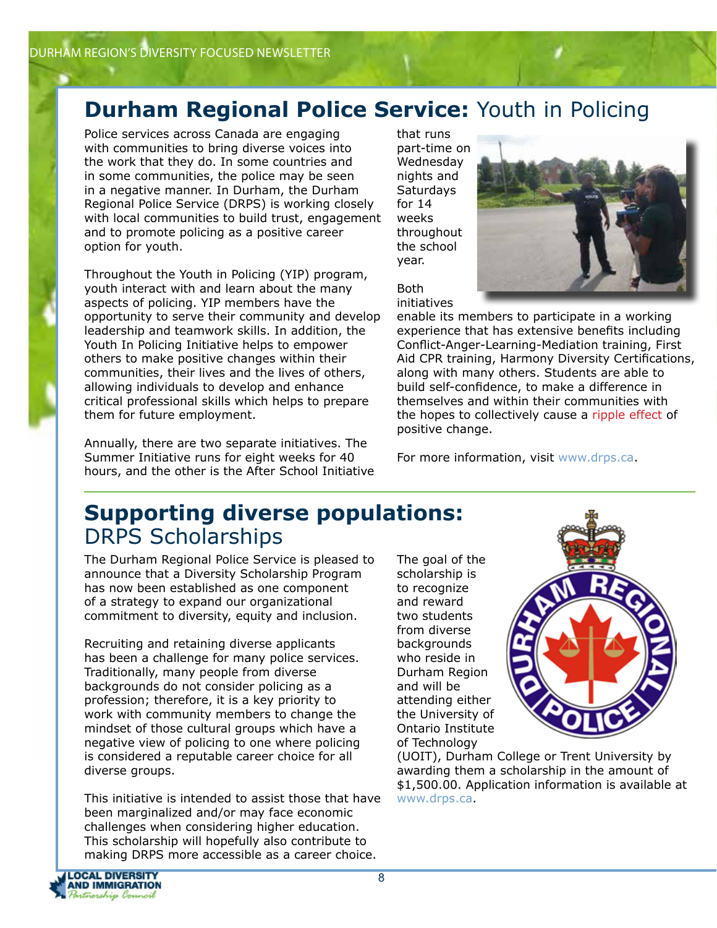# **Durham Regional Police Service:** Youth in Policing

Police services across Canada are engaging with communities to bring diverse voices into the work that they do. In some countries and in some communities, the police may be seen in a negative manner. In Durham, the Durham Regional Police Service (DRPS) is working closely with local communities to build trust, engagement and to promote policing as a positive career option for youth.

Throughout the Youth in Policing (YIP) program, youth interact with and learn about the many aspects of policing. YIP members have the opportunity to serve their community and develop leadership and teamwork skills. In addition, the Youth In Policing Initiative helps to empower others to make positive changes within their communities, their lives and the lives of others, allowing individuals to develop and enhance critical professional skills which helps to prepare them for future employment.

Annually, there are two separate initiatives. The Summer Initiative runs for eight weeks for 40 hours, and the other is the After School Initiative that runs part-time on Wednesday nights and Saturdays for 14 weeks throughout the school year.



Both initiatives

enable its members to participate in a working experience that has extensive benefits including Conflict-Anger-Learning-Mediation training, First Aid CPR training, Harmony Diversity Certifications, along with many others. Students are able to build self-confidence, to make a difference in themselves and within their communities with the hopes to collectively cause a ripple effect of positive change.

For more information, visit www.drps.ca.

### **Supporting diverse populations:**  DRPS Scholarships

The Durham Regional Police Service is pleased to announce that a Diversity Scholarship Program has now been established as one component of a strategy to expand our organizational commitment to diversity, equity and inclusion.

Recruiting and retaining diverse applicants has been a challenge for many police services. Traditionally, many people from diverse backgrounds do not consider policing as a profession; therefore, it is a key priority to work with community members to change the mindset of those cultural groups which have a negative view of policing to one where policing is considered a reputable career choice for all diverse groups.

This initiative is intended to assist those that have been marginalized and/or may face economic challenges when considering higher education. This scholarship will hopefully also contribute to making DRPS more accessible as a career choice.

The goal of the scholarship is to recognize and reward two students from diverse backgrounds who reside in Durham Region and will be attending either the University of Ontario Institute of Technology



(UOIT), Durham College or Trent University by awarding them a scholarship in the amount of \$1,500.00. Application information is available at www.drps.ca.

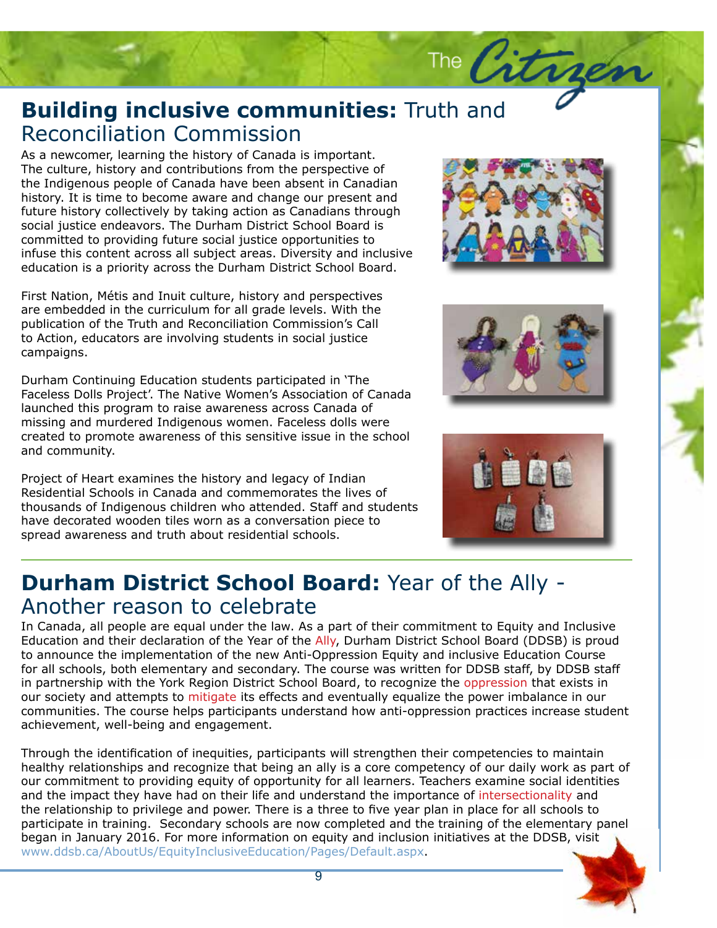## **Building inclusive communities:** Truth and Reconciliation Commission Reconciliation Commission

As a newcomer, learning the history of Canada is important.<br>The culture, history and contributions from the perspective o and margements people of canada have been absent in canadiant history. It is time to become aware and change our present and future history collectively by taking action as Canadians through social justice endeavors. The Durham District School Board is committed to providing future social justice opportunities to infuse this content across all subject areas. Diversity and inclusive education is a priority across the Durham District School Board. The culture, history and contributions from the perspective of the Indigenous people of Canada have been absent in Canadian

First Nation, Métis and Inuit culture, history and perspectives are embedded in the curriculum for all grade levels. With the publication of the Truth and Reconciliation Commission's Call to Action, educators are involving students in social justice<br>campaigns. campaigns.

Durham Continuing Education students participated in 'The Faceless Dolls Project'. The Native Women's Association of Canada launched this program to raise awareness across Canada of missing and murdered Indigenous women. Faceless dolls were created to promote awareness of this sensitive issue in the school and community.

Project of Heart examines the history and legacy of Indian Residential Schools in Canada and commemorates the lives of thousands of Indigenous children who attended. Staff and students have decorated wooden tiles worn as a conversation piece to spread awareness and truth about residential schools.



The Citr





# **Durham District School Board:** Year of the Ally - Another reason to celebrate

In Canada, all people are equal under the law. As a part of their commitment to Equity and Inclusive Education and their declaration of the Year of the Ally, Durham District School Board (DDSB) is proud to announce the implementation of the new Anti-Oppression Equity and inclusive Education Course for all schools, both elementary and secondary. The course was written for DDSB staff, by DDSB staff in partnership with the York Region District School Board, to recognize the oppression that exists in our society and attempts to mitigate its effects and eventually equalize the power imbalance in our communities. The course helps participants understand how anti-oppression practices increase student achievement, well-being and engagement.

Through the identification of inequities, participants will strengthen their competencies to maintain healthy relationships and recognize that being an ally is a core competency of our daily work as part of our commitment to providing equity of opportunity for all learners. Teachers examine social identities and the impact they have had on their life and understand the importance of intersectionality and the relationship to privilege and power. There is a three to five year plan in place for all schools to participate in training. Secondary schools are now completed and the training of the elementary panel began in January 2016. For more information on equity and inclusion initiatives at the DDSB, visit www.ddsb.ca/AboutUs/EquityInclusiveEducation/Pages/Default.aspx.

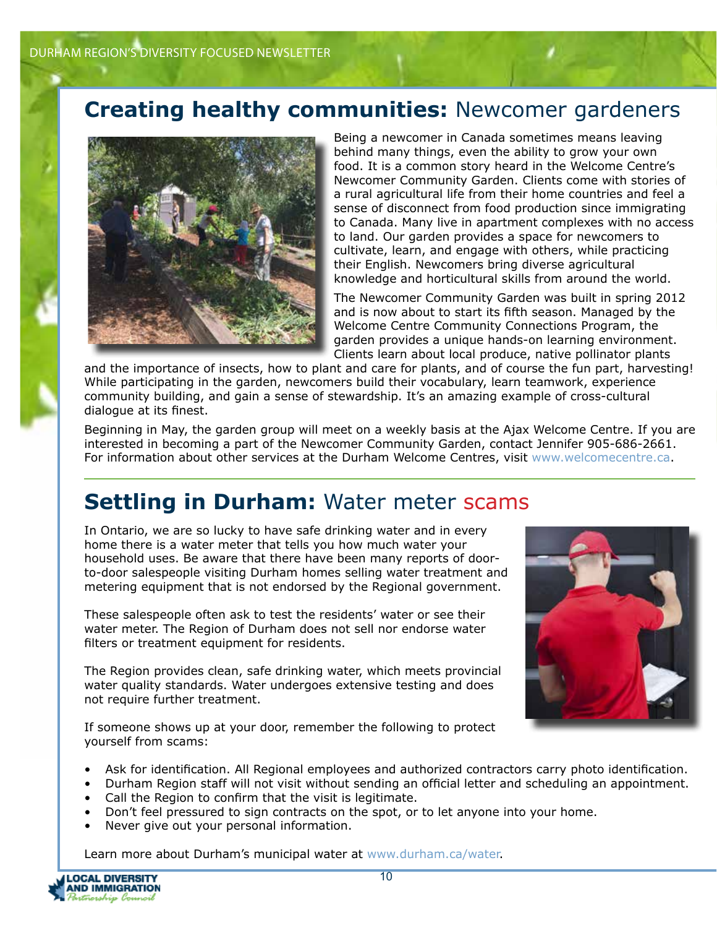# **Creating healthy communities:** Newcomer gardeners



Being a newcomer in Canada sometimes means leaving behind many things, even the ability to grow your own food. It is a common story heard in the Welcome Centre's Newcomer Community Garden. Clients come with stories of a rural agricultural life from their home countries and feel a sense of disconnect from food production since immigrating to Canada. Many live in apartment complexes with no access to land. Our garden provides a space for newcomers to cultivate, learn, and engage with others, while practicing their English. Newcomers bring diverse agricultural knowledge and horticultural skills from around the world.

The Newcomer Community Garden was built in spring 2012 and is now about to start its fifth season. Managed by the Welcome Centre Community Connections Program, the garden provides a unique hands-on learning environment. Clients learn about local produce, native pollinator plants

and the importance of insects, how to plant and care for plants, and of course the fun part, harvesting! While participating in the garden, newcomers build their vocabulary, learn teamwork, experience community building, and gain a sense of stewardship. It's an amazing example of cross-cultural dialogue at its finest.

Beginning in May, the garden group will meet on a weekly basis at the Ajax Welcome Centre. If you are interested in becoming a part of the Newcomer Community Garden, contact Jennifer 905-686-2661. For information about other services at the Durham Welcome Centres, visit www.welcomecentre.ca.

## **Settling in Durham:** Water meter scams

In Ontario, we are so lucky to have safe drinking water and in every home there is a water meter that tells you how much water your household uses. Be aware that there have been many reports of doorto-door salespeople visiting Durham homes selling water treatment and metering equipment that is not endorsed by the Regional government.

These salespeople often ask to test the residents' water or see their water meter. The Region of Durham does not sell nor endorse water filters or treatment equipment for residents.

The Region provides clean, safe drinking water, which meets provincial water quality standards. Water undergoes extensive testing and does not require further treatment.

If someone shows up at your door, remember the following to protect yourself from scams:



- Ask for identification. All Regional employees and authorized contractors carry photo identification.
- Durham Region staff will not visit without sending an official letter and scheduling an appointment.
- Call the Region to confirm that the visit is legitimate.
- Don't feel pressured to sign contracts on the spot, or to let anyone into your home.
- Never give out your personal information.

Learn more about Durham's municipal water at www.durham.ca/water.

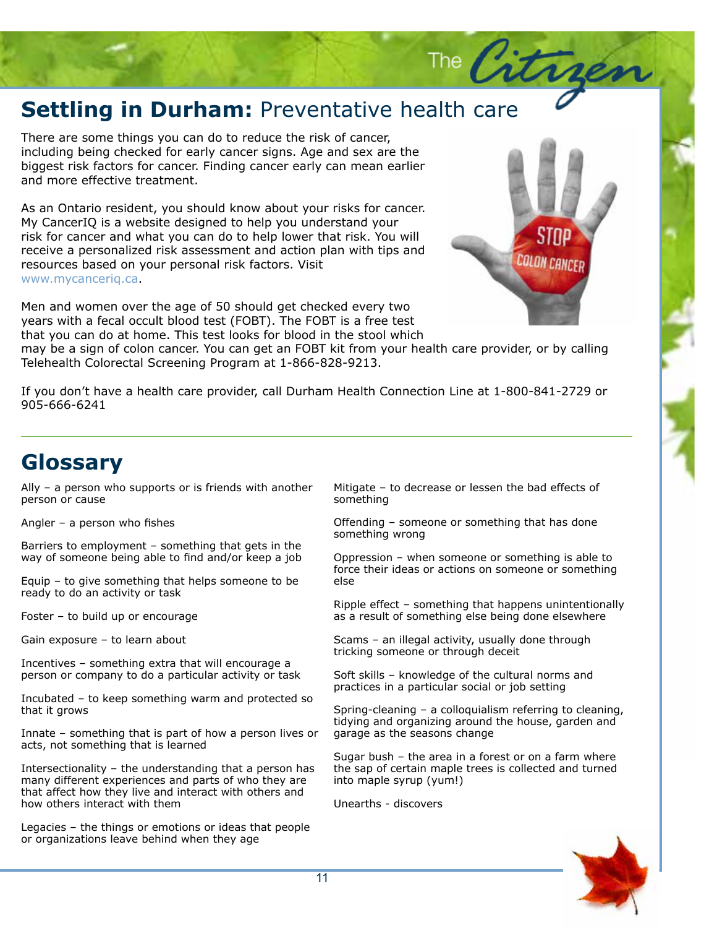# **Settling in Durham: Preventative health care**

There are some things you can do to reduce the risk of cancer, including being checked for early cancer signs. Age and sex are the biggest risk factors for cancer. Finding cancer early can mean earlier and more effective treatment.

As an Ontario resident, you should know about your risks for cancer. My CancerIQ is a website designed to help you understand your risk for cancer and what you can do to help lower that risk. You will receive a personalized risk assessment and action plan with tips and resources based on your personal risk factors. Visit www.mycanceriq.ca.

Men and women over the age of 50 should get checked every two years with a fecal occult blood test (FOBT). The FOBT is a free test that you can do at home. This test looks for blood in the stool which



The Citra

Story Headquarter (1986)<br>Story Headquarter (1986)<br>Story Headquarter (1986)

may be a sign of colon cancer. You can get an FOBT kit from your health care provider, or by calling Telehealth Colorectal Screening Program at 1-866-828-9213.

If you don't have a health care provider, call Durham Health Connection Line at 1-800-841-2729 or 905-666-6241

### **Glossary**

Ally – a person who supports or is friends with another person or cause

Angler – a person who fishes

Barriers to employment – something that gets in the way of someone being able to find and/or keep a job

Equip – to give something that helps someone to be ready to do an activity or task

Foster – to build up or encourage

Gain exposure – to learn about

Incentives – something extra that will encourage a person or company to do a particular activity or task

Incubated – to keep something warm and protected so that it grows

Innate – something that is part of how a person lives or acts, not something that is learned

Intersectionality – the understanding that a person has many different experiences and parts of who they are that affect how they live and interact with others and how others interact with them

Legacies – the things or emotions or ideas that people or organizations leave behind when they age

Mitigate – to decrease or lessen the bad effects of something

Offending – someone or something that has done something wrong

Oppression – when someone or something is able to force their ideas or actions on someone or something else

Ripple effect – something that happens unintentionally as a result of something else being done elsewhere

Scams – an illegal activity, usually done through tricking someone or through deceit

Soft skills – knowledge of the cultural norms and practices in a particular social or job setting

Spring-cleaning – a colloquialism referring to cleaning, tidying and organizing around the house, garden and garage as the seasons change

Sugar bush – the area in a forest or on a farm where the sap of certain maple trees is collected and turned into maple syrup (yum!)

Unearths - discovers